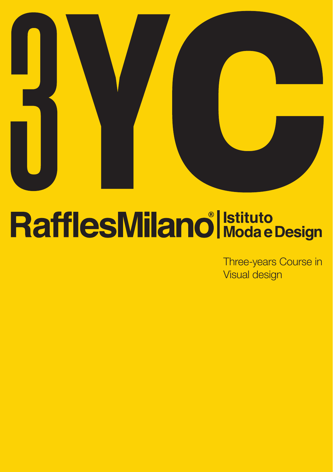

# RafflesMilano<sup>®</sup> Istituto

Three-years Course in Visual design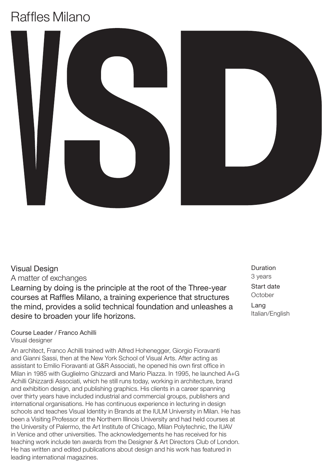## Raffles Milano



### Visual Design

A matter of exchanges

Learning by doing is the principle at the root of the Three-year courses at Raffles Milano, a training experience that structures the mind, provides a solid technical foundation and unleashes a desire to broaden your life horizons.

### Course Leader / Franco Achilli Visual designer

An architect, Franco Achilli trained with Alfred Hohenegger, Giorgio Fioravanti and Gianni Sassi, then at the New York School of Visual Arts. After acting as assistant to Emilio Fioravanti at G&R Associati, he opened his own first office in Milan in 1985 with Guglielmo Ghizzardi and Mario Piazza. In 1995, he launched A+G Achilli Ghizzardi Associati, which he still runs today, working in architecture, brand and exhibition design, and publishing graphics. His clients in a career spanning over thirty years have included industrial and commercial groups, publishers and international organisations. He has continuous experience in lecturing in design schools and teaches Visual Identity in Brands at the IULM University in Milan. He has been a Visiting Professor at the Northern Illinois University and had held courses at the University of Palermo, the Art Institute of Chicago, Milan Polytechnic, the IUAV in Venice and other universities. The acknowledgements he has received for his teaching work include ten awards from the Designer & Art Directors Club of London. He has written and edited publications about design and his work has featured in leading international magazines.

Duration 3 years Start date **October** Lang

Italian/English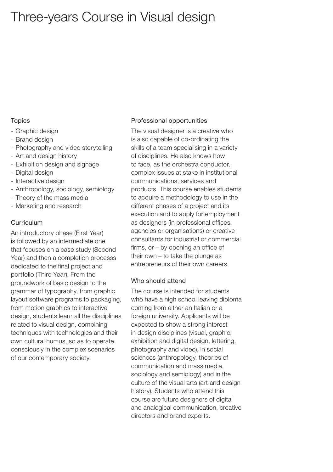### Three-years Course in Visual design

#### **Topics**

- Graphic design
- Brand design
- Photography and video storytelling
- Art and design history
- Exhibition design and signage
- Digital design
- Interactive design
- Anthropology, sociology, semiology
- Theory of the mass media
- Marketing and research

### Curriculum

An introductory phase (First Year) is followed by an intermediate one that focuses on a case study (Second Year) and then a completion processs dedicated to the final project and portfolio (Third Year). From the groundwork of basic design to the grammar of typography, from graphic layout software programs to packaging, from motion graphics to interactive design, students learn all the disciplines related to visual design, combining techniques with technologies and their own cultural humus, so as to operate consciously in the complex scenarios of our contemporary society.

#### Professional opportunities

The visual designer is a creative who is also capable of co-ordinating the skills of a team specialising in a variety of disciplines. He also knows how to face, as the orchestra conductor, complex issues at stake in institutional communications, services and products. This course enables students to acquire a methodology to use in the different phases of a project and its execution and to apply for employment as designers (in professional offices, agencies or organisations) or creative consultants for industrial or commercial firms, or – by opening an office of their own – to take the plunge as entrepreneurs of their own careers.

#### Who should attend

The course is intended for students who have a high school leaving diploma coming from either an Italian or a foreign university. Applicants will be expected to show a strong interest in design disciplines (visual, graphic, exhibition and digital design, lettering, photography and video), in social sciences (anthropology, theories of communication and mass media, sociology and semiology) and in the culture of the visual arts (art and design history). Students who attend this course are future designers of digital and analogical communication, creative directors and brand experts.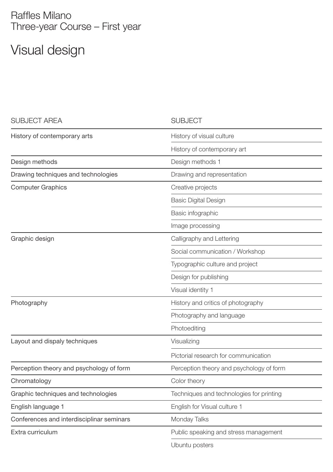### Raffles Milano Three-year Course – First year

# Visual design

| <b>SUBJECT AREA</b>                       | <b>SUBJECT</b>                           |
|-------------------------------------------|------------------------------------------|
| History of contemporary arts              | History of visual culture                |
|                                           | History of contemporary art              |
| Design methods                            | Design methods 1                         |
| Drawing techniques and technologies       | Drawing and representation               |
| <b>Computer Graphics</b>                  | Creative projects                        |
|                                           | <b>Basic Digital Design</b>              |
|                                           | Basic infographic                        |
|                                           | Image processing                         |
| Graphic design                            | Calligraphy and Lettering                |
|                                           | Social communication / Workshop          |
|                                           | Typographic culture and project          |
|                                           | Design for publishing                    |
|                                           | Visual identity 1                        |
| Photography                               | History and critics of photography       |
|                                           | Photography and language                 |
|                                           | Photoediting                             |
| Layout and dispaly techniques             | Visualizing                              |
|                                           | Pictorial research for communication     |
| Perception theory and psychology of form  | Perception theory and psychology of form |
| Chromatology                              | Color theory                             |
| Graphic techniques and technologies       | Techniques and technologies for printing |
| English language 1                        | English for Visual culture 1             |
| Conferences and interdisciplinar seminars | Monday Talks                             |
| Extra curriculum                          | Public speaking and stress management    |
|                                           | Ubuntu posters                           |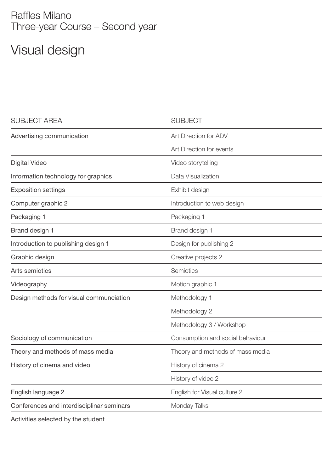### Raffles Milano Three-year Course – Second year

# Visual design

| <b>SUBJECT AREA</b>                       | <b>SUBJECT</b>                   |
|-------------------------------------------|----------------------------------|
| Advertising communication                 | Art Direction for ADV            |
|                                           | Art Direction for events         |
| Digital Video                             | Video storytelling               |
| Information technology for graphics       | Data Visualization               |
| <b>Exposition settings</b>                | Exhibit design                   |
| Computer graphic 2                        | Introduction to web design       |
| Packaging 1                               | Packaging 1                      |
| Brand design 1                            | Brand design 1                   |
| Introduction to publishing design 1       | Design for publishing 2          |
| Graphic design                            | Creative projects 2              |
| Arts semiotics                            | Semiotics                        |
| Videography                               | Motion graphic 1                 |
| Design methods for visual communciation   | Methodology 1                    |
|                                           | Methodology 2                    |
|                                           | Methodology 3 / Workshop         |
| Sociology of communication                | Consumption and social behaviour |
| Theory and methods of mass media          | Theory and methods of mass media |
| History of cinema and video               | History of cinema 2              |
|                                           | History of video 2               |
| English language 2                        | English for Visual culture 2     |
| Conferences and interdisciplinar seminars | Monday Talks                     |
|                                           |                                  |

Activities selected by the student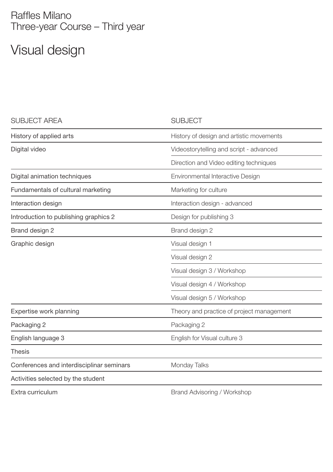### Raffles Milano Three-year Course – Third year

# Visual design

| <b>SUBJECT AREA</b>                       | <b>SUBJECT</b>                            |
|-------------------------------------------|-------------------------------------------|
| History of applied arts                   | History of design and artistic movements  |
| Digital video                             | Videostorytelling and script - advanced   |
|                                           | Direction and Video editing techniques    |
| Digital animation techniques              | Environmental Interactive Design          |
| Fundamentals of cultural marketing        | Marketing for culture                     |
| Interaction design                        | Interaction design - advanced             |
| Introduction to publishing graphics 2     | Design for publishing 3                   |
| Brand design 2                            | Brand design 2                            |
| Graphic design                            | Visual design 1                           |
|                                           | Visual design 2                           |
|                                           | Visual design 3 / Workshop                |
|                                           | Visual design 4 / Workshop                |
|                                           | Visual design 5 / Workshop                |
| Expertise work planning                   | Theory and practice of project management |
| Packaging 2                               | Packaging 2                               |
| English language 3                        | English for Visual culture 3              |
| <b>Thesis</b>                             |                                           |
| Conferences and interdisciplinar seminars | Monday Talks                              |
| Activities selected by the student        |                                           |
| Extra curriculum                          | Brand Advisoring / Workshop               |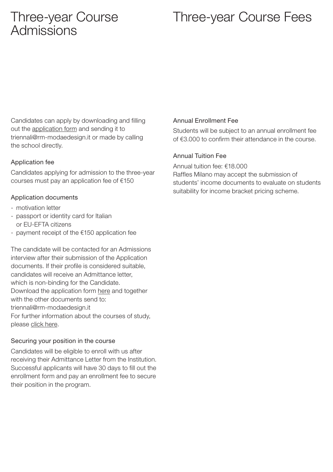### Three-year Course Admissions

### Three-year Course Fees

Candidates can apply by downloading and filling out th[e application form a](https://rm-modaedesign.it/wp-content/uploads/2021/07/3YC-APPLICATION-FORM.pdf)nd sending it to triennali@rm-modaedesign.it or made by calling the school directly.

### Application fee

Candidates applying for admission to the three-year courses must pay an application fee of €150

### Application documents

- motivation letter
- passport or identity card for Italian or EU-EFTA citizens
- payment receipt of the €150 application fee

The candidate will be contacted for an Admissions interview after their submission of the Application documents. If their profile is considered suitable, candidates will receive an Admittance letter, which is non-binding for the Candidate. Download the application for[m here an](https://rm-modaedesign.it/wp-content/uploads/2021/07/3YC-APPLICATION-FORM.pdf)d together with the other documents send to: triennali@rm-modaedesign.it For further information about the courses of study, plea[se click here.](https://rm-modaedesign.it/wp-content/uploads/2021/07/3YC-APPLICATION-FORM.pdf)

### Securing your position in the course

Candidates will be eligible to enroll with us after receiving their Admittance Letter from the Institution. Successful applicants will have 30 days to fill out the enrollment form and pay an enrollment fee to secure their position in the program.

### Annual Enrollment Fee

Students will be subject to an annual enrollment fee of €3.000 to confirm their attendance in the course.

### Annual Tuition Fee

Annual tuition fee: €18.000 Raffles Milano may accept the submission of students' income documents to evaluate on students suitability for income bracket pricing scheme.